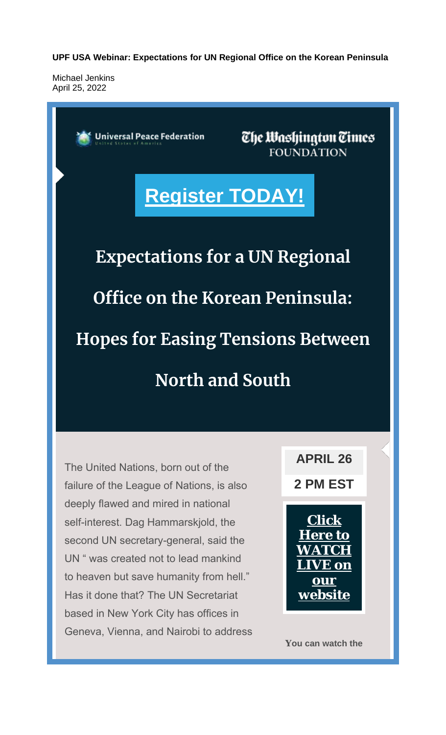**UPF USA Webinar: Expectations for UN Regional Office on the Korean Peninsula**

Michael Jenkins April 25, 2022



The United Nations, born out of the failure of the League of Nations, is also deeply flawed and mired in national self-interest. Dag Hammarskjold, the second UN secretary-general, said the UN " was created not to lead mankind to heaven but save humanity from hell." Has it done that? The UN Secretariat based in New York City has offices in Geneva, Vienna, and Nairobi to address **2 PM EST**



**You can watch the**